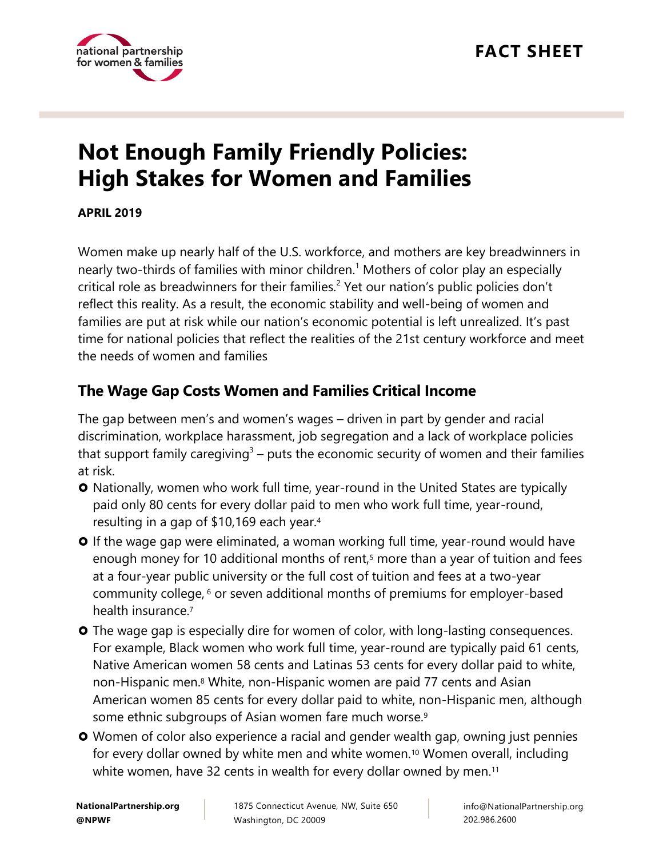

# **Not Enough Family Friendly Policies: High Stakes for Women and Families**

**APRIL 2019** 

Women make up nearly half of the U.S. workforce, and mothers are key breadwinners in nearly two-thirds of families with minor children.<sup>1</sup> Mothers of color play an especially critical role as breadwinners for their families.<sup>2</sup> Yet our nation's public policies don't reflect this reality. As a result, the economic stability and well-being of women and families are put at risk while our nation's economic potential is left unrealized. It's past time for national policies that reflect the realities of the 21st century workforce and meet the needs of women and families

## **The Wage Gap Costs Women and Families Critical Income**

The gap between men's and women's wages – driven in part by gender and racial discrimination, workplace harassment, job segregation and a lack of workplace policies that support family caregiving<sup>3</sup> – puts the economic security of women and their families at risk.

- **O** Nationally, women who work full time, year-round in the United States are typically paid only 80 cents for every dollar paid to men who work full time, year-round, resulting in a gap of \$10,169 each year.<sup>4</sup>
- **O** If the wage gap were eliminated, a woman working full time, year-round would have enough money for 10 additional months of rent,<sup>5</sup> more than a year of tuition and fees at a four-year public university or the full cost of tuition and fees at a two-year community college, <sup>6</sup> or seven additional months of premiums for employer-based health insurance.<sup>7</sup>
- **O** The wage gap is especially dire for women of color, with long-lasting consequences. For example, Black women who work full time, year-round are typically paid 61 cents, Native American women 58 cents and Latinas 53 cents for every dollar paid to white, non-Hispanic men.<sup>8</sup> White, non-Hispanic women are paid 77 cents and Asian American women 85 cents for every dollar paid to white, non-Hispanic men, although some ethnic subgroups of Asian women fare much worse.<sup>9</sup>
- **O** Women of color also experience a racial and gender wealth gap, owning just pennies for every dollar owned by white men and white women.<sup>10</sup> Women overall, including white women, have 32 cents in wealth for every dollar owned by men.<sup>11</sup>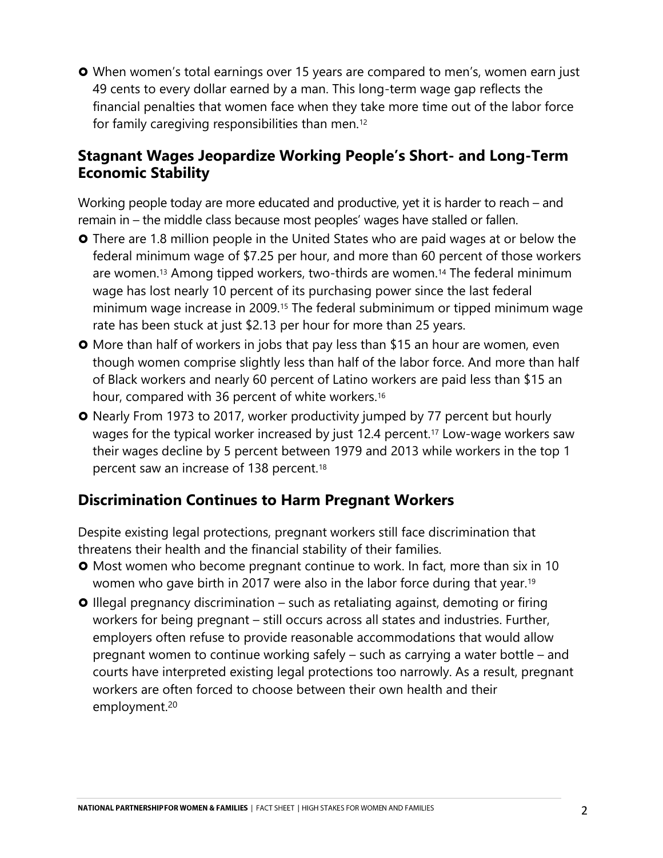When women's total earnings over 15 years are compared to men's, women earn just 49 cents to every dollar earned by a man. This long-term wage gap reflects the financial penalties that women face when they take more time out of the labor force for family caregiving responsibilities than men.<sup>12</sup>

#### **Stagnant Wages Jeopardize Working People's Short- and Long-Term Economic Stability**

Working people today are more educated and productive, yet it is harder to reach – and remain in – the middle class because most peoples' wages have stalled or fallen.

- **O** There are 1.8 million people in the United States who are paid wages at or below the federal minimum wage of \$7.25 per hour, and more than 60 percent of those workers are women.<sup>13</sup> Among tipped workers, two-thirds are women.<sup>14</sup> The federal minimum wage has lost nearly 10 percent of its purchasing power since the last federal minimum wage increase in 2009.<sup>15</sup> The federal subminimum or tipped minimum wage rate has been stuck at just \$2.13 per hour for more than 25 years.
- **O** More than half of workers in jobs that pay less than \$15 an hour are women, even though women comprise slightly less than half of the labor force. And more than half of Black workers and nearly 60 percent of Latino workers are paid less than \$15 an hour, compared with 36 percent of white workers.<sup>16</sup>
- **O** Nearly From 1973 to 2017, worker productivity jumped by 77 percent but hourly wages for the typical worker increased by just 12.4 percent.<sup>17</sup> Low-wage workers saw their wages decline by 5 percent between 1979 and 2013 while workers in the top 1 percent saw an increase of 138 percent.<sup>18</sup>

### **Discrimination Continues to Harm Pregnant Workers**

Despite existing legal protections, pregnant workers still face discrimination that threatens their health and the financial stability of their families.

- **O** Most women who become pregnant continue to work. In fact, more than six in 10 women who gave birth in 2017 were also in the labor force during that year.<sup>19</sup>
- **O** Illegal pregnancy discrimination such as retaliating against, demoting or firing workers for being pregnant – still occurs across all states and industries. Further, employers often refuse to provide reasonable accommodations that would allow pregnant women to continue working safely – such as carrying a water bottle – and courts have interpreted existing legal protections too narrowly. As a result, pregnant workers are often forced to choose between their own health and their employment.20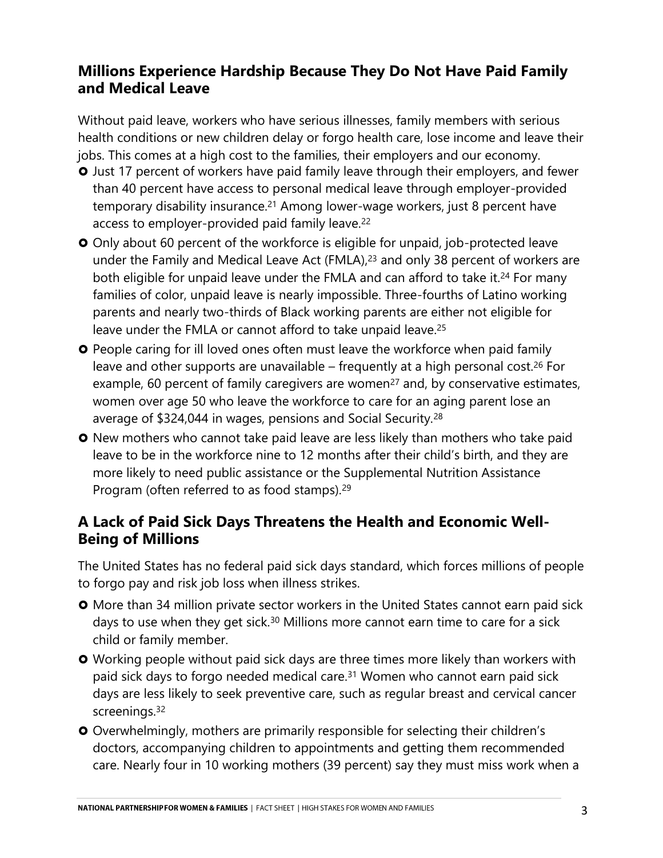### **Millions Experience Hardship Because They Do Not Have Paid Family and Medical Leave**

Without paid leave, workers who have serious illnesses, family members with serious health conditions or new children delay or forgo health care, lose income and leave their jobs. This comes at a high cost to the families, their employers and our economy.

- **O** Just 17 percent of workers have paid family leave through their employers, and fewer than 40 percent have access to personal medical leave through employer-provided temporary disability insurance.<sup>21</sup> Among lower-wage workers, just 8 percent have access to employer-provided paid family leave.<sup>22</sup>
- **O** Only about 60 percent of the workforce is eligible for unpaid, job-protected leave under the Family and Medical Leave Act (FMLA),<sup>23</sup> and only 38 percent of workers are both eligible for unpaid leave under the FMLA and can afford to take it.<sup>24</sup> For many families of color, unpaid leave is nearly impossible. Three-fourths of Latino working parents and nearly two-thirds of Black working parents are either not eligible for leave under the FMLA or cannot afford to take unpaid leave.<sup>25</sup>
- **O** People caring for ill loved ones often must leave the workforce when paid family leave and other supports are unavailable  $-$  frequently at a high personal cost.<sup>26</sup> For example, 60 percent of family caregivers are women<sup>27</sup> and, by conservative estimates, women over age 50 who leave the workforce to care for an aging parent lose an average of \$324,044 in wages, pensions and Social Security.<sup>28</sup>
- **O** New mothers who cannot take paid leave are less likely than mothers who take paid leave to be in the workforce nine to 12 months after their child's birth, and they are more likely to need public assistance or the Supplemental Nutrition Assistance Program (often referred to as food stamps).<sup>29</sup>

### **A Lack of Paid Sick Days Threatens the Health and Economic Well-Being of Millions**

The United States has no federal paid sick days standard, which forces millions of people to forgo pay and risk job loss when illness strikes.

- **O** More than 34 million private sector workers in the United States cannot earn paid sick days to use when they get sick.<sup>30</sup> Millions more cannot earn time to care for a sick child or family member.
- **O** Working people without paid sick days are three times more likely than workers with paid sick days to forgo needed medical care.<sup>31</sup> Women who cannot earn paid sick days are less likely to seek preventive care, such as regular breast and cervical cancer screenings.<sup>32</sup>
- O Overwhelmingly, mothers are primarily responsible for selecting their children's doctors, accompanying children to appointments and getting them recommended care. Nearly four in 10 working mothers (39 percent) say they must miss work when a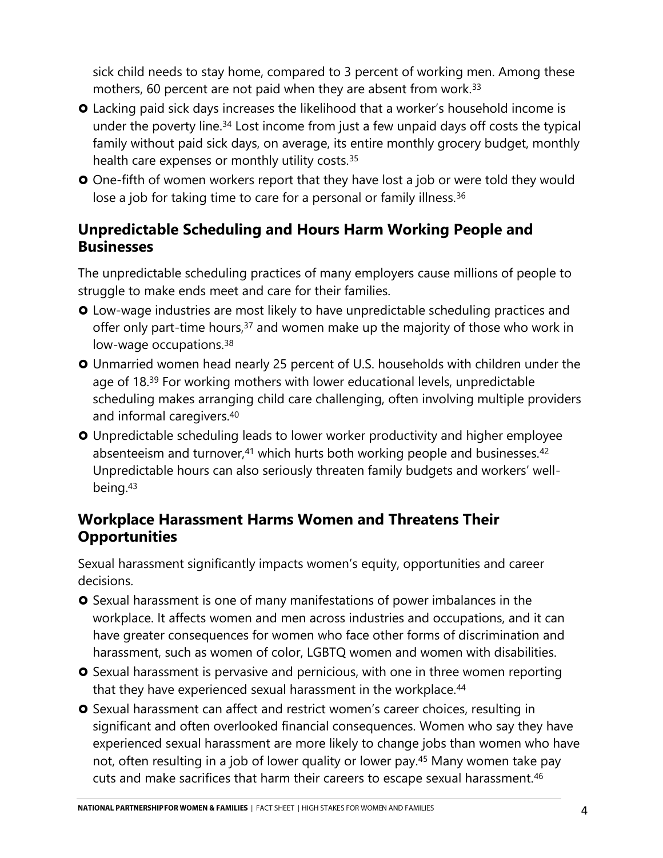sick child needs to stay home, compared to 3 percent of working men. Among these mothers, 60 percent are not paid when they are absent from work.<sup>33</sup>

- Lacking paid sick days increases the likelihood that a worker's household income is under the poverty line.<sup>34</sup> Lost income from just a few unpaid days off costs the typical family without paid sick days, on average, its entire monthly grocery budget, monthly health care expenses or monthly utility costs.<sup>35</sup>
- **O** One-fifth of women workers report that they have lost a job or were told they would lose a job for taking time to care for a personal or family illness.<sup>36</sup>

### **Unpredictable Scheduling and Hours Harm Working People and Businesses**

The unpredictable scheduling practices of many employers cause millions of people to struggle to make ends meet and care for their families.

- Low-wage industries are most likely to have unpredictable scheduling practices and offer only part-time hours,<sup>37</sup> and women make up the majority of those who work in low-wage occupations.<sup>38</sup>
- Unmarried women head nearly 25 percent of U.S. households with children under the age of 18.<sup>39</sup> For working mothers with lower educational levels, unpredictable scheduling makes arranging child care challenging, often involving multiple providers and informal caregivers.<sup>40</sup>
- Unpredictable scheduling leads to lower worker productivity and higher employee absenteeism and turnover,<sup>41</sup> which hurts both working people and businesses.<sup>42</sup> Unpredictable hours can also seriously threaten family budgets and workers' wellbeing.<sup>43</sup>

### **Workplace Harassment Harms Women and Threatens Their Opportunities**

Sexual harassment significantly impacts women's equity, opportunities and career decisions.

- **O** Sexual harassment is one of many manifestations of power imbalances in the workplace. It affects women and men across industries and occupations, and it can have greater consequences for women who face other forms of discrimination and harassment, such as women of color, LGBTQ women and women with disabilities.
- **O** Sexual harassment is pervasive and pernicious, with one in three women reporting that they have experienced sexual harassment in the workplace.<sup>44</sup>
- **O** Sexual harassment can affect and restrict women's career choices, resulting in significant and often overlooked financial consequences. Women who say they have experienced sexual harassment are more likely to change jobs than women who have not, often resulting in a job of lower quality or lower pay.<sup>45</sup> Many women take pay cuts and make sacrifices that harm their careers to escape sexual harassment.<sup>46</sup>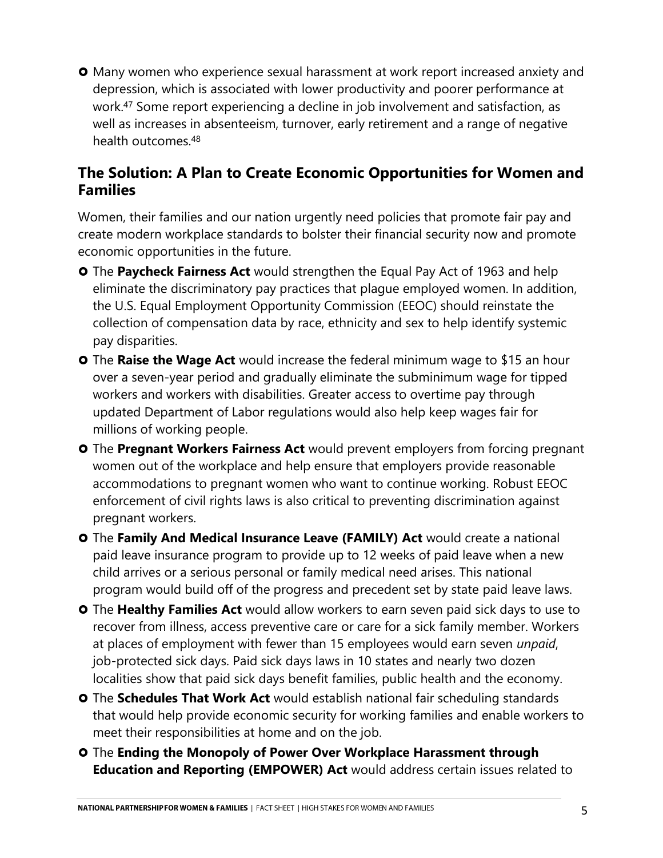**O** Many women who experience sexual harassment at work report increased anxiety and depression, which is associated with lower productivity and poorer performance at work.<sup>47</sup> Some report experiencing a decline in job involvement and satisfaction, as well as increases in absenteeism, turnover, early retirement and a range of negative health outcomes.<sup>48</sup>

#### **The Solution: A Plan to Create Economic Opportunities for Women and Families**

Women, their families and our nation urgently need policies that promote fair pay and create modern workplace standards to bolster their financial security now and promote economic opportunities in the future.

- The **Paycheck Fairness Act** would strengthen the Equal Pay Act of 1963 and help eliminate the discriminatory pay practices that plague employed women. In addition, the U.S. Equal Employment Opportunity Commission (EEOC) should reinstate the collection of compensation data by race, ethnicity and sex to help identify systemic pay disparities.
- **O** The **Raise the Wage Act** would increase the federal minimum wage to \$15 an hour over a seven-year period and gradually eliminate the subminimum wage for tipped workers and workers with disabilities. Greater access to overtime pay through updated Department of Labor regulations would also help keep wages fair for millions of working people.
- The **Pregnant Workers Fairness Act** would prevent employers from forcing pregnant women out of the workplace and help ensure that employers provide reasonable accommodations to pregnant women who want to continue working. Robust EEOC enforcement of civil rights laws is also critical to preventing discrimination against pregnant workers.
- The **Family And Medical Insurance Leave (FAMILY) Act** would create a national paid leave insurance program to provide up to 12 weeks of paid leave when a new child arrives or a serious personal or family medical need arises. This national program would build off of the progress and precedent set by state paid leave laws.
- The **Healthy Families Act** would allow workers to earn seven paid sick days to use to recover from illness, access preventive care or care for a sick family member. Workers at places of employment with fewer than 15 employees would earn seven *unpaid*, job-protected sick days. Paid sick days laws in 10 states and nearly two dozen localities show that paid sick days benefit families, public health and the economy.
- The **Schedules That Work Act** would establish national fair scheduling standards that would help provide economic security for working families and enable workers to meet their responsibilities at home and on the job.
- The **Ending the Monopoly of Power Over Workplace Harassment through Education and Reporting (EMPOWER) Act** would address certain issues related to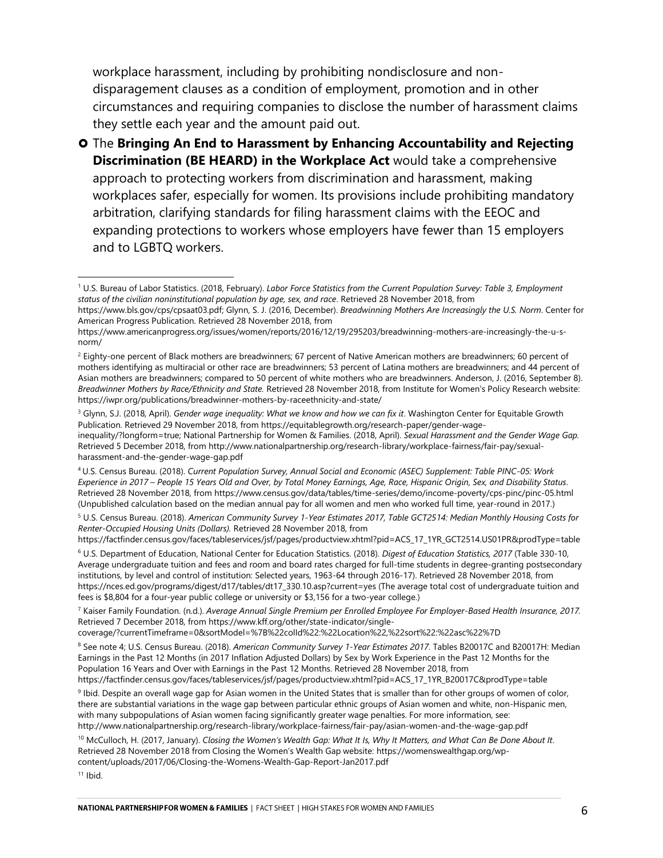workplace harassment, including by prohibiting nondisclosure and nondisparagement clauses as a condition of employment, promotion and in other circumstances and requiring companies to disclose the number of harassment claims they settle each year and the amount paid out.

 The **Bringing An End to Harassment by Enhancing Accountability and Rejecting Discrimination (BE HEARD) in the Workplace Act** would take a comprehensive approach to protecting workers from discrimination and harassment, making workplaces safer, especially for women. Its provisions include prohibiting mandatory arbitration, clarifying standards for filing harassment claims with the EEOC and expanding protections to workers whose employers have fewer than 15 employers and to LGBTQ workers.

<sup>3</sup> Glynn, S.J. (2018, April). *Gender wage inequality: What we know and how we can fix it*. Washington Center for Equitable Growth Publication. Retrieved 29 November 2018, from https://equitablegrowth.org/research-paper/gender-wage-

inequality/?longform=true; National Partnership for Women & Families. (2018, April). *Sexual Harassment and the Gender Wage Gap.* Retrieved 5 December 2018, from http://www.nationalpartnership.org/research-library/workplace-fairness/fair-pay/sexualharassment-and-the-gender-wage-gap.pdf

<sup>4</sup> U.S. Census Bureau. (2018). *Current Population Survey, Annual Social and Economic (ASEC) Supplement: Table PINC-05: Work Experience in 2017 – People 15 Years Old and Over, by Total Money Earnings, Age, Race, Hispanic Origin, Sex, and Disability Status*. Retrieved 28 November 2018, from https://www.census.gov/data/tables/time-series/demo/income-poverty/cps-pinc/pinc-05.html (Unpublished calculation based on the median annual pay for all women and men who worked full time, year-round in 2017.)

<sup>5</sup> U.S. Census Bureau. (2018). *American Community Survey 1-Year Estimates 2017, Table GCT2514: Median Monthly Housing Costs for Renter-Occupied Housing Units (Dollars).* Retrieved 28 November 2018, from

https://factfinder.census.gov/faces/tableservices/jsf/pages/productview.xhtml?pid=ACS\_17\_1YR\_GCT2514.US01PR&prodType=table

<sup>6</sup> U.S. Department of Education, National Center for Education Statistics. (2018). *Digest of Education Statistics, 2017* (Table 330-10, Average undergraduate tuition and fees and room and board rates charged for full-time students in degree-granting postsecondary institutions, by level and control of institution: Selected years, 1963-64 through 2016-17). Retrieved 28 November 2018, from https://nces.ed.gov/programs/digest/d17/tables/dt17\_330.10.asp?current=yes (The average total cost of undergraduate tuition and fees is \$8,804 for a four-year public college or university or \$3,156 for a two-year college.)

<sup>7</sup> Kaiser Family Foundation. (n.d.). *Average Annual Single Premium per Enrolled Employee For Employer-Based Health Insurance, 2017.* Retrieved 7 December 2018, from https://www.kff.org/other/state-indicator/single-

coverage/?currentTimeframe=0&sortModel=%7B%22colId%22:%22Location%22,%22sort%22:%22asc%22%7D

<sup>8</sup> See note 4; U.S. Census Bureau. (2018). *American Community Survey 1-Year Estimates 2017*. Tables B20017C and B20017H: Median Earnings in the Past 12 Months (in 2017 Inflation Adjusted Dollars) by Sex by Work Experience in the Past 12 Months for the Population 16 Years and Over with Earnings in the Past 12 Months. Retrieved 28 November 2018, from

https://factfinder.census.gov/faces/tableservices/jsf/pages/productview.xhtml?pid=ACS\_17\_1YR\_B20017C&prodType=table

<sup>9</sup> Ibid. Despite an overall wage gap for Asian women in the United States that is smaller than for other groups of women of color, there are substantial variations in the wage gap between particular ethnic groups of Asian women and white, non-Hispanic men, with many subpopulations of Asian women facing significantly greater wage penalties. For more information, see: http://www.nationalpartnership.org/research-library/workplace-fairness/fair-pay/asian-women-and-the-wage-gap.pdf

<sup>10</sup> McCulloch, H. (2017, January). *Closing the Women's Wealth Gap: What It Is, Why It Matters, and What Can Be Done About It*. Retrieved 28 November 2018 from Closing the Women's Wealth Gap website: https://womenswealthgap.org/wpcontent/uploads/2017/06/Closing-the-Womens-Wealth-Gap-Report-Jan2017.pdf

 $11$  Ibid.

<sup>1</sup> U.S. Bureau of Labor Statistics. (2018, February). *Labor Force Statistics from the Current Population Survey: Table 3, Employment status of the civilian noninstitutional population by age, sex, and race*. Retrieved 28 November 2018, from

https://www.bls.gov/cps/cpsaat03.pdf; Glynn, S. J. (2016, December). *Breadwinning Mothers Are Increasingly the U.S. Norm*. Center for American Progress Publication. Retrieved 28 November 2018, from

https://www.americanprogress.org/issues/women/reports/2016/12/19/295203/breadwinning-mothers-are-increasingly-the-u-snorm/

<sup>&</sup>lt;sup>2</sup> Eighty-one percent of Black mothers are breadwinners; 67 percent of Native American mothers are breadwinners; 60 percent of mothers identifying as multiracial or other race are breadwinners; 53 percent of Latina mothers are breadwinners; and 44 percent of Asian mothers are breadwinners; compared to 50 percent of white mothers who are breadwinners. Anderson, J. (2016, September 8). *Breadwinner Mothers by Race/Ethnicity and State.* Retrieved 28 November 2018, from Institute for Women's Policy Research website: https://iwpr.org/publications/breadwinner-mothers-by-raceethnicity-and-state/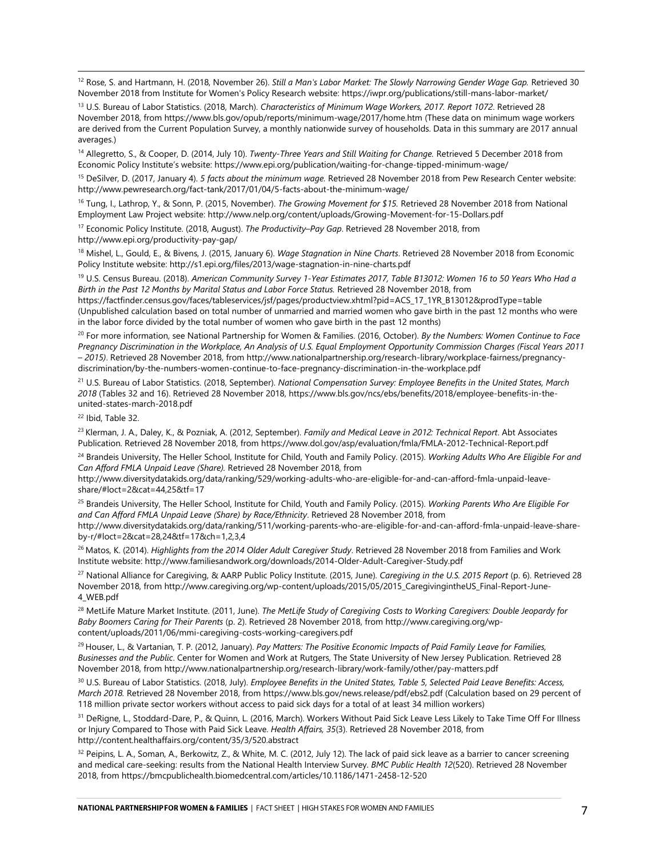<sup>12</sup> Rose, S. and Hartmann, H. (2018, November 26). *Still a Man's Labor Market: The Slowly Narrowing Gender Wage Gap*. Retrieved 30 November 2018 from Institute for Women's Policy Research website: https://iwpr.org/publications/still-mans-labor-market/

<sup>13</sup> U.S. Bureau of Labor Statistics. (2018, March). *Characteristics of Minimum Wage Workers, 2017. Report 1072*. Retrieved 28 November 2018, from https://www.bls.gov/opub/reports/minimum-wage/2017/home.htm (These data on minimum wage workers are derived from the Current Population Survey, a monthly nationwide survey of households. Data in this summary are 2017 annual averages.)

<sup>14</sup> Allegretto, S., & Cooper, D. (2014, July 10). *Twenty-Three Years and Still Waiting for Change.* Retrieved 5 December 2018 from Economic Policy Institute's website: https://www.epi.org/publication/waiting-for-change-tipped-minimum-wage/

<sup>15</sup> DeSilver, D. (2017, January 4). *5 facts about the minimum wage.* Retrieved 28 November 2018 from Pew Research Center website: http://www.pewresearch.org/fact-tank/2017/01/04/5-facts-about-the-minimum-wage/

<sup>16</sup> Tung, I., Lathrop, Y., & Sonn, P. (2015, November). *The Growing Movement for \$15.* Retrieved 28 November 2018 from National Employment Law Project website: http://www.nelp.org/content/uploads/Growing-Movement-for-15-Dollars.pdf

<sup>17</sup> Economic Policy Institute. (2018, August). *The Productivity–Pay Gap*. Retrieved 28 November 2018, from http://www.epi.org/productivity-pay-gap/

<sup>18</sup> Mishel, L., Gould, E., & Bivens, J. (2015, January 6). *Wage Stagnation in Nine Charts*. Retrieved 28 November 2018 from Economic Policy Institute website: http://s1.epi.org/files/2013/wage-stagnation-in-nine-charts.pdf

<sup>19</sup> U.S. Census Bureau. (2018). *American Community Survey 1-Year Estimates 2017, Table B13012: Women 16 to 50 Years Who Had a Birth in the Past 12 Months by Marital Status and Labor Force Status.* Retrieved 28 November 2018, from

https://factfinder.census.gov/faces/tableservices/jsf/pages/productview.xhtml?pid=ACS\_17\_1YR\_B13012&prodType=table (Unpublished calculation based on total number of unmarried and married women who gave birth in the past 12 months who were in the labor force divided by the total number of women who gave birth in the past 12 months)

<sup>20</sup> For more information, see National Partnership for Women & Families. (2016, October). *By the Numbers: Women Continue to Face Pregnancy Discrimination in the Workplace, An Analysis of U.S. Equal Employment Opportunity Commission Charges (Fiscal Years 2011 – 2015)*. Retrieved 28 November 2018, from http://www.nationalpartnership.org/research-library/workplace-fairness/pregnancydiscrimination/by-the-numbers-women-continue-to-face-pregnancy-discrimination-in-the-workplace.pdf

<sup>21</sup> U.S. Bureau of Labor Statistics. (2018, September). *National Compensation Survey: Employee Benefits in the United States, March 2018* (Tables 32 and 16). Retrieved 28 November 2018, https://www.bls.gov/ncs/ebs/benefits/2018/employee-benefits-in-theunited-states-march-2018.pdf

<sup>22</sup> Ibid, Table 32.

l

<sup>23</sup> Klerman, J. A., Daley, K., & Pozniak, A. (2012, September). *Family and Medical Leave in 2012: Technical Report*. Abt Associates Publication. Retrieved 28 November 2018, from https://www.dol.gov/asp/evaluation/fmla/FMLA-2012-Technical-Report.pdf

<sup>24</sup> Brandeis University, The Heller School, Institute for Child, Youth and Family Policy. (2015). *Working Adults Who Are Eligible For and Can Afford FMLA Unpaid Leave (Share).* Retrieved 28 November 2018, from

http://www.diversitydatakids.org/data/ranking/529/working-adults-who-are-eligible-for-and-can-afford-fmla-unpaid-leaveshare/#loct=2&cat=44,25&tf=17

<sup>25</sup> Brandeis University, The Heller School, Institute for Child, Youth and Family Policy. (2015). *Working Parents Who Are Eligible For and Can Afford FMLA Unpaid Leave (Share) by Race/Ethnicity*. Retrieved 28 November 2018, from

http://www.diversitydatakids.org/data/ranking/511/working-parents-who-are-eligible-for-and-can-afford-fmla-unpaid-leave-shareby-r/#loct=2&cat=28,24&tf=17&ch=1,2,3,4

<sup>26</sup> Matos, K. (2014). *Highlights from the 2014 Older Adult Caregiver Study*. Retrieved 28 November 2018 from Families and Work Institute website: http://www.familiesandwork.org/downloads/2014-Older-Adult-Caregiver-Study.pdf

<sup>27</sup> National Alliance for Caregiving, & AARP Public Policy Institute. (2015, June). *Caregiving in the U.S. 2015 Report* (p. 6). Retrieved 28 November 2018, from http://www.caregiving.org/wp-content/uploads/2015/05/2015\_CaregivingintheUS\_Final-Report-June-4\_WEB.pdf

<sup>28</sup> MetLife Mature Market Institute. (2011, June). *The MetLife Study of Caregiving Costs to Working Caregivers: Double Jeopardy for Baby Boomers Caring for Their Parents* (p. 2). Retrieved 28 November 2018, from [http://www.caregiving.org/wp](http://www.caregiving.org/wp-content/uploads/2011/06/mmi-caregiving-costs-working-caregivers.pdf)[content/uploads/2011/06/mmi-caregiving-costs-working-caregivers.pdf](http://www.caregiving.org/wp-content/uploads/2011/06/mmi-caregiving-costs-working-caregivers.pdf)

<sup>29</sup> Houser, L., & Vartanian, T. P. (2012, January). *Pay Matters: The Positive Economic Impacts of Paid Family Leave for Families, Businesses and the Public*. Center for Women and Work at Rutgers, The State University of New Jersey Publication. Retrieved 28 November 2018, from http://www.nationalpartnership.org/research-library/work-family/other/pay-matters.pdf

<sup>30</sup> U.S. Bureau of Labor Statistics. (2018, July). *Employee Benefits in the United States, Table 5, Selected Paid Leave Benefits: Access, March 2018.* Retrieved 28 November 2018, from https://www.bls.gov/news.release/pdf/ebs2.pdf (Calculation based on 29 percent of 118 million private sector workers without access to paid sick days for a total of at least 34 million workers)

<sup>31</sup> DeRigne, L., Stoddard-Dare, P., & Quinn, L. (2016, March). Workers Without Paid Sick Leave Less Likely to Take Time Off For Illness or Injury Compared to Those with Paid Sick Leave. *Health Affairs, 35*(3). Retrieved 28 November 2018, from http://content.healthaffairs.org/content/35/3/520.abstract

32 Peipins, L. A., Soman, A., Berkowitz, Z., & White, M. C. (2012, July 12). The lack of paid sick leave as a barrier to cancer screening and medical care-seeking: results from the National Health Interview Survey. *BMC Public Health 12*(520). Retrieved 28 November 2018, from https://bmcpublichealth.biomedcentral.com/articles/10.1186/1471-2458-12-520